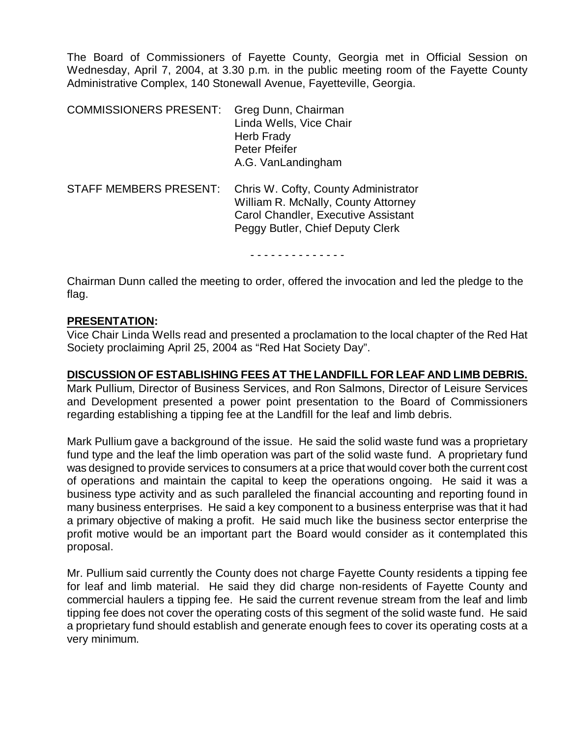The Board of Commissioners of Fayette County, Georgia met in Official Session on Wednesday, April 7, 2004, at 3.30 p.m. in the public meeting room of the Fayette County Administrative Complex, 140 Stonewall Avenue, Fayetteville, Georgia.

| <b>COMMISSIONERS PRESENT:</b> | Greg Dunn, Chairman<br>Linda Wells, Vice Chair<br><b>Herb Frady</b><br>Peter Pfeifer<br>A.G. VanLandingham                                             |
|-------------------------------|--------------------------------------------------------------------------------------------------------------------------------------------------------|
| <b>STAFF MEMBERS PRESENT:</b> | Chris W. Cofty, County Administrator<br>William R. McNally, County Attorney<br>Carol Chandler, Executive Assistant<br>Peggy Butler, Chief Deputy Clerk |

- - - - - - - - - - - - - -

Chairman Dunn called the meeting to order, offered the invocation and led the pledge to the flag.

#### **PRESENTATION:**

Vice Chair Linda Wells read and presented a proclamation to the local chapter of the Red Hat Society proclaiming April 25, 2004 as "Red Hat Society Day".

#### **DISCUSSION OF ESTABLISHING FEES AT THE LANDFILL FOR LEAF AND LIMB DEBRIS.**

Mark Pullium, Director of Business Services, and Ron Salmons, Director of Leisure Services and Development presented a power point presentation to the Board of Commissioners regarding establishing a tipping fee at the Landfill for the leaf and limb debris.

Mark Pullium gave a background of the issue. He said the solid waste fund was a proprietary fund type and the leaf the limb operation was part of the solid waste fund. A proprietary fund was designed to provide services to consumers at a price that would cover both the current cost of operations and maintain the capital to keep the operations ongoing. He said it was a business type activity and as such paralleled the financial accounting and reporting found in many business enterprises. He said a key component to a business enterprise was that it had a primary objective of making a profit. He said much like the business sector enterprise the profit motive would be an important part the Board would consider as it contemplated this proposal.

Mr. Pullium said currently the County does not charge Fayette County residents a tipping fee for leaf and limb material. He said they did charge non-residents of Fayette County and commercial haulers a tipping fee. He said the current revenue stream from the leaf and limb tipping fee does not cover the operating costs of this segment of the solid waste fund. He said a proprietary fund should establish and generate enough fees to cover its operating costs at a very minimum.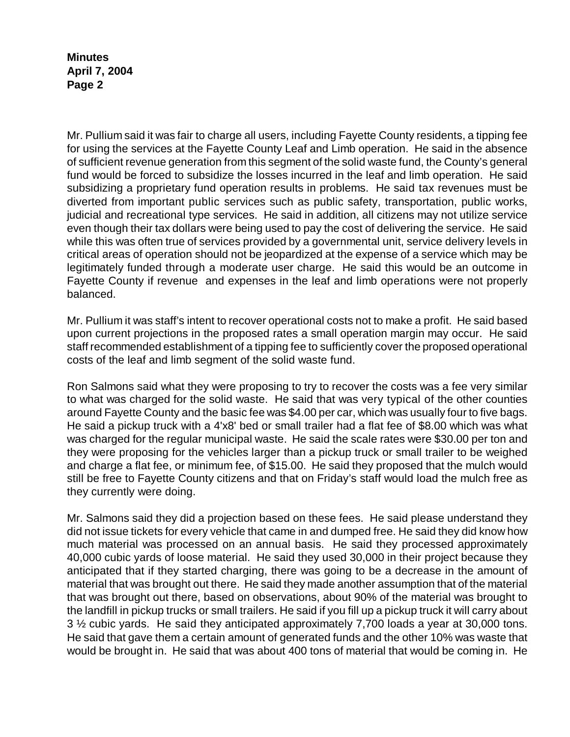Mr. Pullium said it was fair to charge all users, including Fayette County residents, a tipping fee for using the services at the Fayette County Leaf and Limb operation. He said in the absence of sufficient revenue generation from this segment of the solid waste fund, the County's general fund would be forced to subsidize the losses incurred in the leaf and limb operation. He said subsidizing a proprietary fund operation results in problems. He said tax revenues must be diverted from important public services such as public safety, transportation, public works, judicial and recreational type services. He said in addition, all citizens may not utilize service even though their tax dollars were being used to pay the cost of delivering the service. He said while this was often true of services provided by a governmental unit, service delivery levels in critical areas of operation should not be jeopardized at the expense of a service which may be legitimately funded through a moderate user charge. He said this would be an outcome in Fayette County if revenue and expenses in the leaf and limb operations were not properly balanced.

Mr. Pullium it was staff's intent to recover operational costs not to make a profit. He said based upon current projections in the proposed rates a small operation margin may occur. He said staff recommended establishment of a tipping fee to sufficiently cover the proposed operational costs of the leaf and limb segment of the solid waste fund.

Ron Salmons said what they were proposing to try to recover the costs was a fee very similar to what was charged for the solid waste. He said that was very typical of the other counties around Fayette County and the basic fee was \$4.00 per car, which was usually four to five bags. He said a pickup truck with a 4'x8' bed or small trailer had a flat fee of \$8.00 which was what was charged for the regular municipal waste. He said the scale rates were \$30.00 per ton and they were proposing for the vehicles larger than a pickup truck or small trailer to be weighed and charge a flat fee, or minimum fee, of \$15.00. He said they proposed that the mulch would still be free to Fayette County citizens and that on Friday's staff would load the mulch free as they currently were doing.

Mr. Salmons said they did a projection based on these fees. He said please understand they did not issue tickets for every vehicle that came in and dumped free. He said they did know how much material was processed on an annual basis. He said they processed approximately 40,000 cubic yards of loose material. He said they used 30,000 in their project because they anticipated that if they started charging, there was going to be a decrease in the amount of material that was brought out there. He said they made another assumption that of the material that was brought out there, based on observations, about 90% of the material was brought to the landfill in pickup trucks or small trailers. He said if you fill up a pickup truck it will carry about 3 ½ cubic yards. He said they anticipated approximately 7,700 loads a year at 30,000 tons. He said that gave them a certain amount of generated funds and the other 10% was waste that would be brought in. He said that was about 400 tons of material that would be coming in. He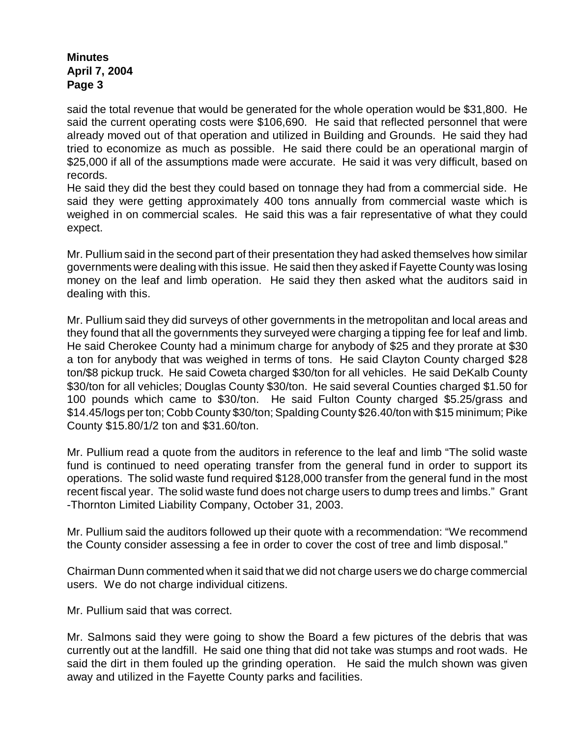said the total revenue that would be generated for the whole operation would be \$31,800. He said the current operating costs were \$106,690. He said that reflected personnel that were already moved out of that operation and utilized in Building and Grounds. He said they had tried to economize as much as possible. He said there could be an operational margin of \$25,000 if all of the assumptions made were accurate. He said it was very difficult, based on records.

He said they did the best they could based on tonnage they had from a commercial side. He said they were getting approximately 400 tons annually from commercial waste which is weighed in on commercial scales. He said this was a fair representative of what they could expect.

Mr. Pullium said in the second part of their presentation they had asked themselves how similar governments were dealing with this issue. He said then they asked if Fayette County was losing money on the leaf and limb operation. He said they then asked what the auditors said in dealing with this.

Mr. Pullium said they did surveys of other governments in the metropolitan and local areas and they found that all the governments they surveyed were charging a tipping fee for leaf and limb. He said Cherokee County had a minimum charge for anybody of \$25 and they prorate at \$30 a ton for anybody that was weighed in terms of tons. He said Clayton County charged \$28 ton/\$8 pickup truck. He said Coweta charged \$30/ton for all vehicles. He said DeKalb County \$30/ton for all vehicles; Douglas County \$30/ton. He said several Counties charged \$1.50 for 100 pounds which came to \$30/ton. He said Fulton County charged \$5.25/grass and \$14.45/logs per ton; Cobb County \$30/ton; Spalding County \$26.40/ton with \$15 minimum; Pike County \$15.80/1/2 ton and \$31.60/ton.

Mr. Pullium read a quote from the auditors in reference to the leaf and limb "The solid waste fund is continued to need operating transfer from the general fund in order to support its operations. The solid waste fund required \$128,000 transfer from the general fund in the most recent fiscal year. The solid waste fund does not charge users to dump trees and limbs." Grant -Thornton Limited Liability Company, October 31, 2003.

Mr. Pullium said the auditors followed up their quote with a recommendation: "We recommend the County consider assessing a fee in order to cover the cost of tree and limb disposal."

Chairman Dunn commented when it said that we did not charge users we do charge commercial users. We do not charge individual citizens.

Mr. Pullium said that was correct.

Mr. Salmons said they were going to show the Board a few pictures of the debris that was currently out at the landfill. He said one thing that did not take was stumps and root wads. He said the dirt in them fouled up the grinding operation. He said the mulch shown was given away and utilized in the Fayette County parks and facilities.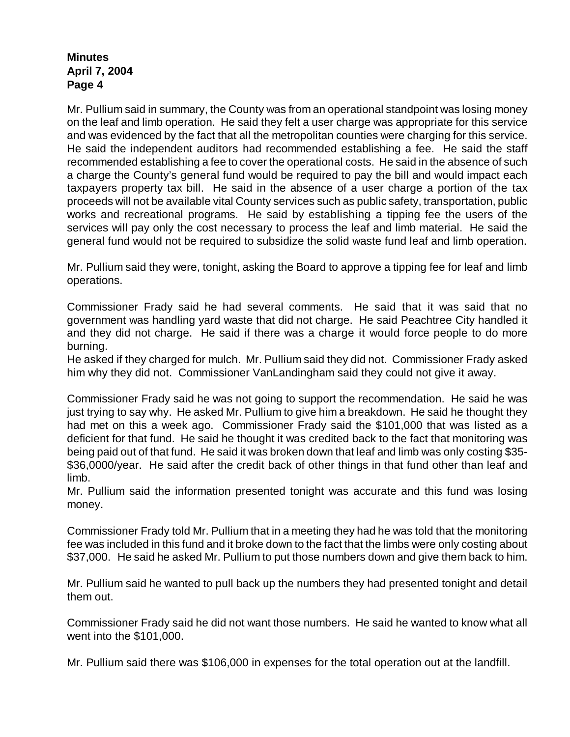Mr. Pullium said in summary, the County was from an operational standpoint was losing money on the leaf and limb operation. He said they felt a user charge was appropriate for this service and was evidenced by the fact that all the metropolitan counties were charging for this service. He said the independent auditors had recommended establishing a fee. He said the staff recommended establishing a fee to cover the operational costs. He said in the absence of such a charge the County's general fund would be required to pay the bill and would impact each taxpayers property tax bill. He said in the absence of a user charge a portion of the tax proceeds will not be available vital County services such as public safety, transportation, public works and recreational programs. He said by establishing a tipping fee the users of the services will pay only the cost necessary to process the leaf and limb material. He said the general fund would not be required to subsidize the solid waste fund leaf and limb operation.

Mr. Pullium said they were, tonight, asking the Board to approve a tipping fee for leaf and limb operations.

Commissioner Frady said he had several comments. He said that it was said that no government was handling yard waste that did not charge. He said Peachtree City handled it and they did not charge. He said if there was a charge it would force people to do more burning.

He asked if they charged for mulch. Mr. Pullium said they did not. Commissioner Frady asked him why they did not. Commissioner VanLandingham said they could not give it away.

Commissioner Frady said he was not going to support the recommendation. He said he was just trying to say why. He asked Mr. Pullium to give him a breakdown. He said he thought they had met on this a week ago. Commissioner Frady said the \$101,000 that was listed as a deficient for that fund. He said he thought it was credited back to the fact that monitoring was being paid out of that fund. He said it was broken down that leaf and limb was only costing \$35- \$36,0000/year. He said after the credit back of other things in that fund other than leaf and limb.

Mr. Pullium said the information presented tonight was accurate and this fund was losing money.

Commissioner Frady told Mr. Pullium that in a meeting they had he was told that the monitoring fee was included in this fund and it broke down to the fact that the limbs were only costing about \$37,000. He said he asked Mr. Pullium to put those numbers down and give them back to him.

Mr. Pullium said he wanted to pull back up the numbers they had presented tonight and detail them out.

Commissioner Frady said he did not want those numbers. He said he wanted to know what all went into the \$101,000.

Mr. Pullium said there was \$106,000 in expenses for the total operation out at the landfill.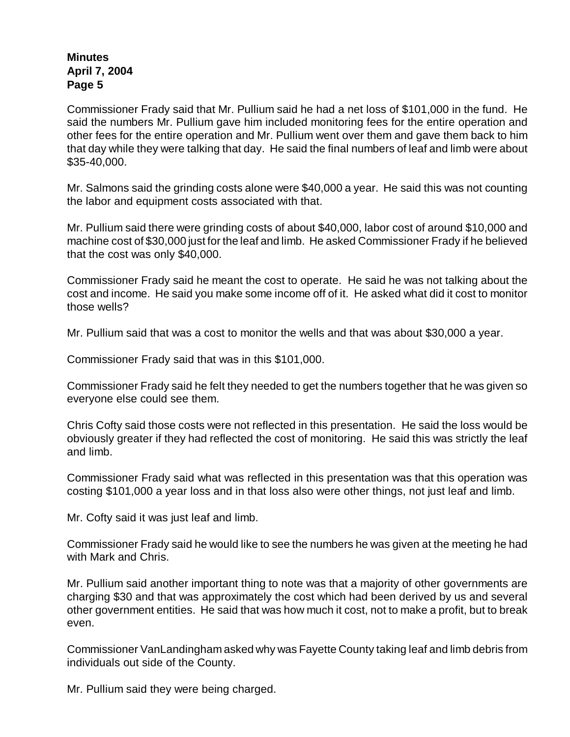Commissioner Frady said that Mr. Pullium said he had a net loss of \$101,000 in the fund. He said the numbers Mr. Pullium gave him included monitoring fees for the entire operation and other fees for the entire operation and Mr. Pullium went over them and gave them back to him that day while they were talking that day. He said the final numbers of leaf and limb were about \$35-40,000.

Mr. Salmons said the grinding costs alone were \$40,000 a year. He said this was not counting the labor and equipment costs associated with that.

Mr. Pullium said there were grinding costs of about \$40,000, labor cost of around \$10,000 and machine cost of \$30,000 just for the leaf and limb. He asked Commissioner Frady if he believed that the cost was only \$40,000.

Commissioner Frady said he meant the cost to operate. He said he was not talking about the cost and income. He said you make some income off of it. He asked what did it cost to monitor those wells?

Mr. Pullium said that was a cost to monitor the wells and that was about \$30,000 a year.

Commissioner Frady said that was in this \$101,000.

Commissioner Frady said he felt they needed to get the numbers together that he was given so everyone else could see them.

Chris Cofty said those costs were not reflected in this presentation. He said the loss would be obviously greater if they had reflected the cost of monitoring. He said this was strictly the leaf and limb.

Commissioner Frady said what was reflected in this presentation was that this operation was costing \$101,000 a year loss and in that loss also were other things, not just leaf and limb.

Mr. Cofty said it was just leaf and limb.

Commissioner Frady said he would like to see the numbers he was given at the meeting he had with Mark and Chris.

Mr. Pullium said another important thing to note was that a majority of other governments are charging \$30 and that was approximately the cost which had been derived by us and several other government entities. He said that was how much it cost, not to make a profit, but to break even.

Commissioner VanLandingham asked why was Fayette County taking leaf and limb debris from individuals out side of the County.

Mr. Pullium said they were being charged.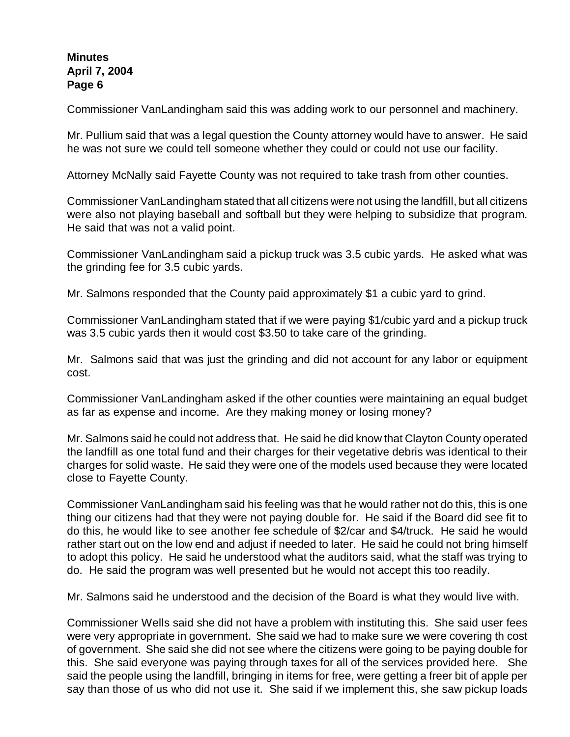Commissioner VanLandingham said this was adding work to our personnel and machinery.

Mr. Pullium said that was a legal question the County attorney would have to answer. He said he was not sure we could tell someone whether they could or could not use our facility.

Attorney McNally said Fayette County was not required to take trash from other counties.

Commissioner VanLandingham stated that all citizens were not using the landfill, but all citizens were also not playing baseball and softball but they were helping to subsidize that program. He said that was not a valid point.

Commissioner VanLandingham said a pickup truck was 3.5 cubic yards. He asked what was the grinding fee for 3.5 cubic yards.

Mr. Salmons responded that the County paid approximately \$1 a cubic yard to grind.

Commissioner VanLandingham stated that if we were paying \$1/cubic yard and a pickup truck was 3.5 cubic yards then it would cost \$3.50 to take care of the grinding.

Mr. Salmons said that was just the grinding and did not account for any labor or equipment cost.

Commissioner VanLandingham asked if the other counties were maintaining an equal budget as far as expense and income. Are they making money or losing money?

Mr. Salmons said he could not address that. He said he did know that Clayton County operated the landfill as one total fund and their charges for their vegetative debris was identical to their charges for solid waste. He said they were one of the models used because they were located close to Fayette County.

Commissioner VanLandingham said his feeling was that he would rather not do this, this is one thing our citizens had that they were not paying double for. He said if the Board did see fit to do this, he would like to see another fee schedule of \$2/car and \$4/truck. He said he would rather start out on the low end and adjust if needed to later. He said he could not bring himself to adopt this policy. He said he understood what the auditors said, what the staff was trying to do. He said the program was well presented but he would not accept this too readily.

Mr. Salmons said he understood and the decision of the Board is what they would live with.

Commissioner Wells said she did not have a problem with instituting this. She said user fees were very appropriate in government. She said we had to make sure we were covering th cost of government. She said she did not see where the citizens were going to be paying double for this. She said everyone was paying through taxes for all of the services provided here. She said the people using the landfill, bringing in items for free, were getting a freer bit of apple per say than those of us who did not use it. She said if we implement this, she saw pickup loads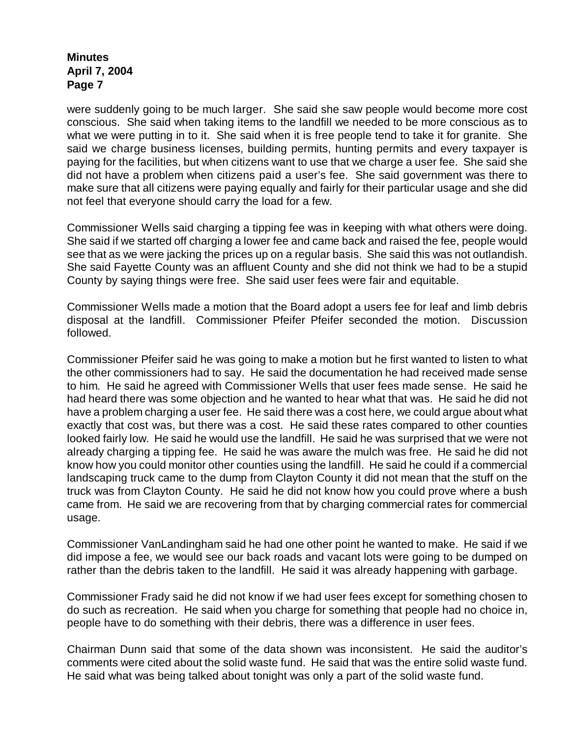were suddenly going to be much larger. She said she saw people would become more cost conscious. She said when taking items to the landfill we needed to be more conscious as to what we were putting in to it. She said when it is free people tend to take it for granite. She said we charge business licenses, building permits, hunting permits and every taxpayer is paying for the facilities, but when citizens want to use that we charge a user fee. She said she did not have a problem when citizens paid a user's fee. She said government was there to make sure that all citizens were paying equally and fairly for their particular usage and she did not feel that everyone should carry the load for a few.

Commissioner Wells said charging a tipping fee was in keeping with what others were doing. She said if we started off charging a lower fee and came back and raised the fee, people would see that as we were jacking the prices up on a regular basis. She said this was not outlandish. She said Fayette County was an affluent County and she did not think we had to be a stupid County by saying things were free. She said user fees were fair and equitable.

Commissioner Wells made a motion that the Board adopt a users fee for leaf and limb debris disposal at the landfill. Commissioner Pfeifer Pfeifer seconded the motion. Discussion followed.

Commissioner Pfeifer said he was going to make a motion but he first wanted to listen to what the other commissioners had to say. He said the documentation he had received made sense to him. He said he agreed with Commissioner Wells that user fees made sense. He said he had heard there was some objection and he wanted to hear what that was. He said he did not have a problem charging a user fee. He said there was a cost here, we could argue about what exactly that cost was, but there was a cost. He said these rates compared to other counties looked fairly low. He said he would use the landfill. He said he was surprised that we were not already charging a tipping fee. He said he was aware the mulch was free. He said he did not know how you could monitor other counties using the landfill. He said he could if a commercial landscaping truck came to the dump from Clayton County it did not mean that the stuff on the truck was from Clayton County. He said he did not know how you could prove where a bush came from. He said we are recovering from that by charging commercial rates for commercial usage.

Commissioner VanLandingham said he had one other point he wanted to make. He said if we did impose a fee, we would see our back roads and vacant lots were going to be dumped on rather than the debris taken to the landfill. He said it was already happening with garbage.

Commissioner Frady said he did not know if we had user fees except for something chosen to do such as recreation. He said when you charge for something that people had no choice in, people have to do something with their debris, there was a difference in user fees.

Chairman Dunn said that some of the data shown was inconsistent. He said the auditor's comments were cited about the solid waste fund. He said that was the entire solid waste fund. He said what was being talked about tonight was only a part of the solid waste fund.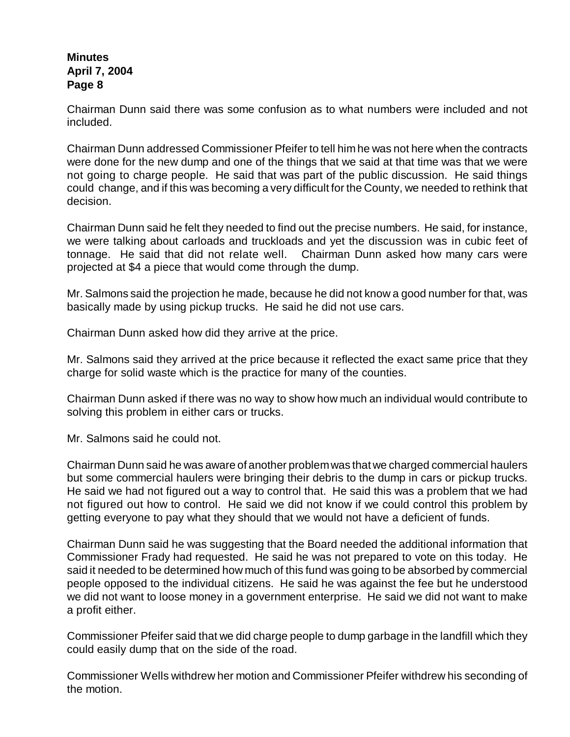Chairman Dunn said there was some confusion as to what numbers were included and not included.

Chairman Dunn addressed Commissioner Pfeifer to tell him he was not here when the contracts were done for the new dump and one of the things that we said at that time was that we were not going to charge people. He said that was part of the public discussion. He said things could change, and if this was becoming a very difficult for the County, we needed to rethink that decision.

Chairman Dunn said he felt they needed to find out the precise numbers. He said, for instance, we were talking about carloads and truckloads and yet the discussion was in cubic feet of tonnage. He said that did not relate well. Chairman Dunn asked how many cars were projected at \$4 a piece that would come through the dump.

Mr. Salmons said the projection he made, because he did not know a good number for that, was basically made by using pickup trucks. He said he did not use cars.

Chairman Dunn asked how did they arrive at the price.

Mr. Salmons said they arrived at the price because it reflected the exact same price that they charge for solid waste which is the practice for many of the counties.

Chairman Dunn asked if there was no way to show how much an individual would contribute to solving this problem in either cars or trucks.

Mr. Salmons said he could not.

Chairman Dunn said he was aware of another problemwas that we charged commercial haulers but some commercial haulers were bringing their debris to the dump in cars or pickup trucks. He said we had not figured out a way to control that. He said this was a problem that we had not figured out how to control. He said we did not know if we could control this problem by getting everyone to pay what they should that we would not have a deficient of funds.

Chairman Dunn said he was suggesting that the Board needed the additional information that Commissioner Frady had requested. He said he was not prepared to vote on this today. He said it needed to be determined how much of this fund was going to be absorbed by commercial people opposed to the individual citizens. He said he was against the fee but he understood we did not want to loose money in a government enterprise. He said we did not want to make a profit either.

Commissioner Pfeifer said that we did charge people to dump garbage in the landfill which they could easily dump that on the side of the road.

Commissioner Wells withdrew her motion and Commissioner Pfeifer withdrew his seconding of the motion.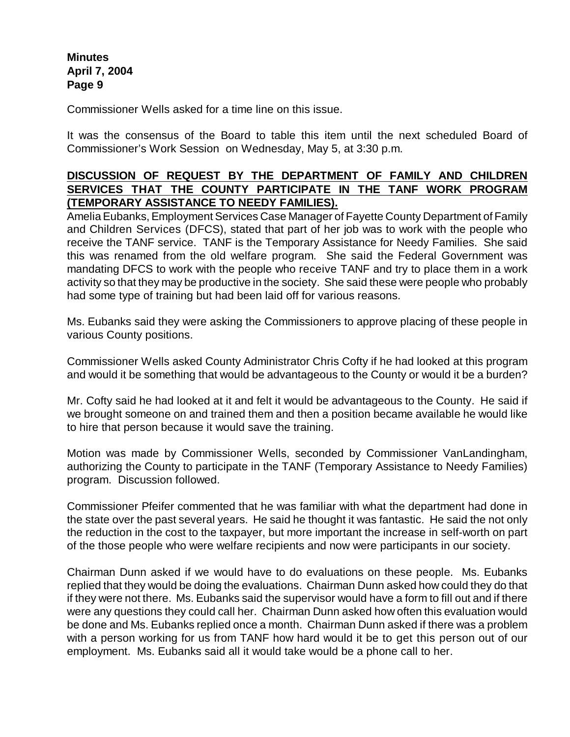Commissioner Wells asked for a time line on this issue.

It was the consensus of the Board to table this item until the next scheduled Board of Commissioner's Work Session on Wednesday, May 5, at 3:30 p.m.

## **DISCUSSION OF REQUEST BY THE DEPARTMENT OF FAMILY AND CHILDREN SERVICES THAT THE COUNTY PARTICIPATE IN THE TANF WORK PROGRAM (TEMPORARY ASSISTANCE TO NEEDY FAMILIES).**

Amelia Eubanks, Employment Services Case Manager of Fayette County Department of Family and Children Services (DFCS), stated that part of her job was to work with the people who receive the TANF service. TANF is the Temporary Assistance for Needy Families. She said this was renamed from the old welfare program. She said the Federal Government was mandating DFCS to work with the people who receive TANF and try to place them in a work activity so that they may be productive in the society. She said these were people who probably had some type of training but had been laid off for various reasons.

Ms. Eubanks said they were asking the Commissioners to approve placing of these people in various County positions.

Commissioner Wells asked County Administrator Chris Cofty if he had looked at this program and would it be something that would be advantageous to the County or would it be a burden?

Mr. Cofty said he had looked at it and felt it would be advantageous to the County. He said if we brought someone on and trained them and then a position became available he would like to hire that person because it would save the training.

Motion was made by Commissioner Wells, seconded by Commissioner VanLandingham, authorizing the County to participate in the TANF (Temporary Assistance to Needy Families) program. Discussion followed.

Commissioner Pfeifer commented that he was familiar with what the department had done in the state over the past several years. He said he thought it was fantastic. He said the not only the reduction in the cost to the taxpayer, but more important the increase in self-worth on part of the those people who were welfare recipients and now were participants in our society.

Chairman Dunn asked if we would have to do evaluations on these people. Ms. Eubanks replied that they would be doing the evaluations. Chairman Dunn asked how could they do that if they were not there. Ms. Eubanks said the supervisor would have a form to fill out and if there were any questions they could call her. Chairman Dunn asked how often this evaluation would be done and Ms. Eubanks replied once a month. Chairman Dunn asked if there was a problem with a person working for us from TANF how hard would it be to get this person out of our employment. Ms. Eubanks said all it would take would be a phone call to her.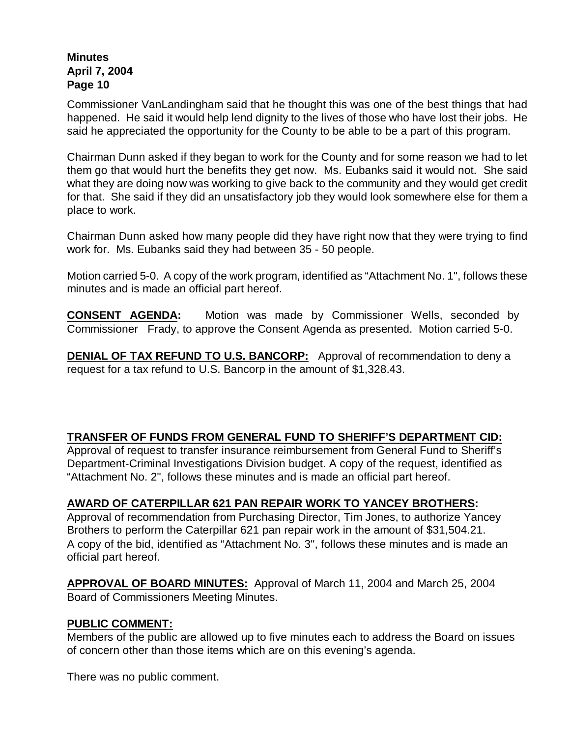Commissioner VanLandingham said that he thought this was one of the best things that had happened. He said it would help lend dignity to the lives of those who have lost their jobs. He said he appreciated the opportunity for the County to be able to be a part of this program.

Chairman Dunn asked if they began to work for the County and for some reason we had to let them go that would hurt the benefits they get now. Ms. Eubanks said it would not. She said what they are doing now was working to give back to the community and they would get credit for that. She said if they did an unsatisfactory job they would look somewhere else for them a place to work.

Chairman Dunn asked how many people did they have right now that they were trying to find work for. Ms. Eubanks said they had between 35 - 50 people.

Motion carried 5-0. A copy of the work program, identified as "Attachment No. 1", follows these minutes and is made an official part hereof.

**CONSENT AGENDA:** Motion was made by Commissioner Wells, seconded by Commissioner Frady, to approve the Consent Agenda as presented. Motion carried 5-0.

**DENIAL OF TAX REFUND TO U.S. BANCORP:** Approval of recommendation to deny a request for a tax refund to U.S. Bancorp in the amount of \$1,328.43.

# **TRANSFER OF FUNDS FROM GENERAL FUND TO SHERIFF'S DEPARTMENT CID:**

Approval of request to transfer insurance reimbursement from General Fund to Sheriff's Department-Criminal Investigations Division budget. A copy of the request, identified as "Attachment No. 2", follows these minutes and is made an official part hereof.

## **AWARD OF CATERPILLAR 621 PAN REPAIR WORK TO YANCEY BROTHERS:**

Approval of recommendation from Purchasing Director, Tim Jones, to authorize Yancey Brothers to perform the Caterpillar 621 pan repair work in the amount of \$31,504.21. A copy of the bid, identified as "Attachment No. 3", follows these minutes and is made an official part hereof.

**APPROVAL OF BOARD MINUTES:** Approval of March 11, 2004 and March 25, 2004 Board of Commissioners Meeting Minutes.

### **PUBLIC COMMENT:**

Members of the public are allowed up to five minutes each to address the Board on issues of concern other than those items which are on this evening's agenda.

There was no public comment.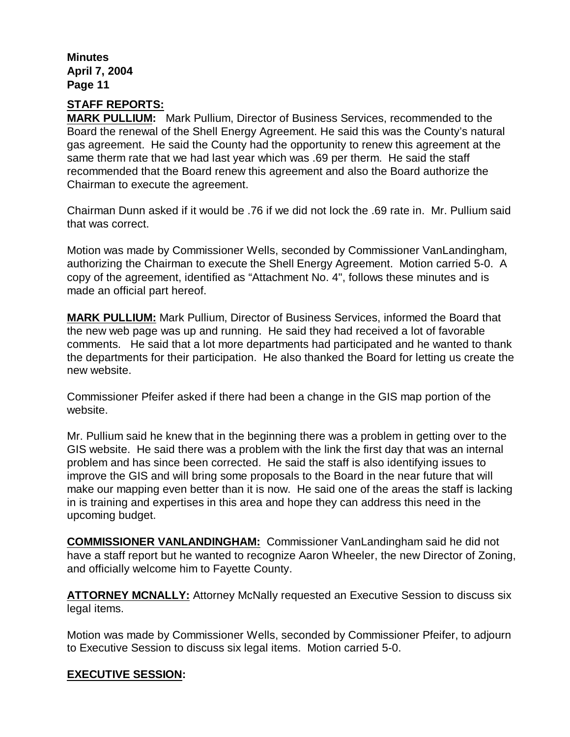## **STAFF REPORTS:**

**MARK PULLIUM:** Mark Pullium, Director of Business Services, recommended to the Board the renewal of the Shell Energy Agreement. He said this was the County's natural gas agreement. He said the County had the opportunity to renew this agreement at the same therm rate that we had last year which was .69 per therm. He said the staff recommended that the Board renew this agreement and also the Board authorize the Chairman to execute the agreement.

Chairman Dunn asked if it would be .76 if we did not lock the .69 rate in. Mr. Pullium said that was correct.

Motion was made by Commissioner Wells, seconded by Commissioner VanLandingham, authorizing the Chairman to execute the Shell Energy Agreement. Motion carried 5-0. A copy of the agreement, identified as "Attachment No. 4", follows these minutes and is made an official part hereof.

**MARK PULLIUM:** Mark Pullium, Director of Business Services, informed the Board that the new web page was up and running. He said they had received a lot of favorable comments. He said that a lot more departments had participated and he wanted to thank the departments for their participation. He also thanked the Board for letting us create the new website.

Commissioner Pfeifer asked if there had been a change in the GIS map portion of the website.

Mr. Pullium said he knew that in the beginning there was a problem in getting over to the GIS website. He said there was a problem with the link the first day that was an internal problem and has since been corrected. He said the staff is also identifying issues to improve the GIS and will bring some proposals to the Board in the near future that will make our mapping even better than it is now. He said one of the areas the staff is lacking in is training and expertises in this area and hope they can address this need in the upcoming budget.

**COMMISSIONER VANLANDINGHAM:** Commissioner VanLandingham said he did not have a staff report but he wanted to recognize Aaron Wheeler, the new Director of Zoning, and officially welcome him to Fayette County.

**ATTORNEY MCNALLY:** Attorney McNally requested an Executive Session to discuss six legal items.

Motion was made by Commissioner Wells, seconded by Commissioner Pfeifer, to adjourn to Executive Session to discuss six legal items. Motion carried 5-0.

### **EXECUTIVE SESSION:**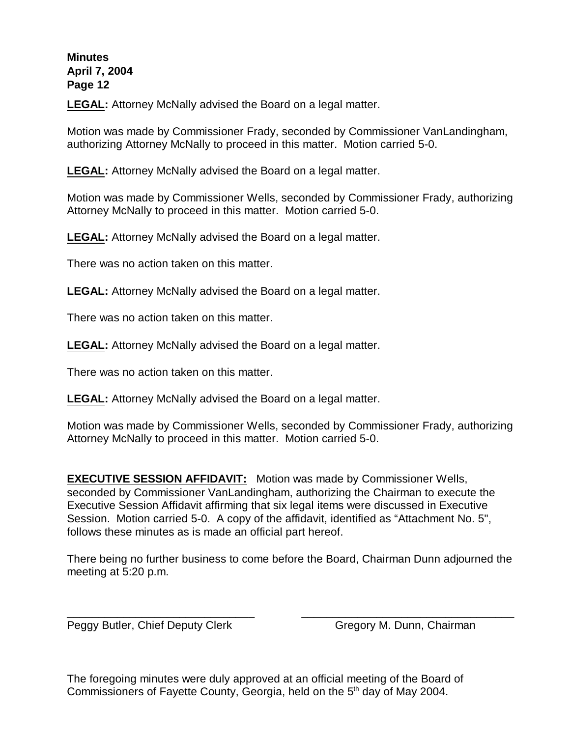**LEGAL:** Attorney McNally advised the Board on a legal matter.

Motion was made by Commissioner Frady, seconded by Commissioner VanLandingham, authorizing Attorney McNally to proceed in this matter. Motion carried 5-0.

**LEGAL:** Attorney McNally advised the Board on a legal matter.

Motion was made by Commissioner Wells, seconded by Commissioner Frady, authorizing Attorney McNally to proceed in this matter. Motion carried 5-0.

**LEGAL:** Attorney McNally advised the Board on a legal matter.

There was no action taken on this matter.

**LEGAL:** Attorney McNally advised the Board on a legal matter.

There was no action taken on this matter.

**LEGAL:** Attorney McNally advised the Board on a legal matter.

There was no action taken on this matter.

**LEGAL:** Attorney McNally advised the Board on a legal matter.

Motion was made by Commissioner Wells, seconded by Commissioner Frady, authorizing Attorney McNally to proceed in this matter. Motion carried 5-0.

**EXECUTIVE SESSION AFFIDAVIT:** Motion was made by Commissioner Wells, seconded by Commissioner VanLandingham, authorizing the Chairman to execute the Executive Session Affidavit affirming that six legal items were discussed in Executive Session. Motion carried 5-0. A copy of the affidavit, identified as "Attachment No. 5", follows these minutes as is made an official part hereof.

There being no further business to come before the Board, Chairman Dunn adjourned the meeting at 5:20 p.m.

\_\_\_\_\_\_\_\_\_\_\_\_\_\_\_\_\_\_\_\_\_\_\_\_\_\_\_\_\_\_ \_\_\_\_\_\_\_\_\_\_\_\_\_\_\_\_\_\_\_\_\_\_\_\_\_\_\_\_\_\_\_\_\_\_

Peggy Butler, Chief Deputy Clerk Gregory M. Dunn, Chairman

The foregoing minutes were duly approved at an official meeting of the Board of Commissioners of Fayette County, Georgia, held on the  $5<sup>th</sup>$  day of May 2004.